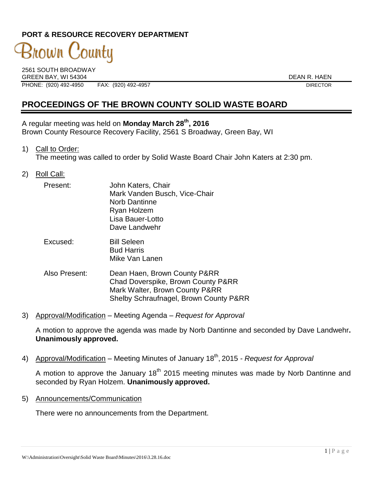### **PORT & RESOURCE RECOVERY DEPARTMENT**

# 3nown County

2561 SOUTH BROADWAY GREEN BAY, WI 54304 DEAN R. HAEN PHONE: (920) 492-4950 FAX: (920) 492-4957 DIRECTOR

## **PROCEEDINGS OF THE BROWN COUNTY SOLID WASTE BOARD**

A regular meeting was held on **Monday March 28th, 2016** Brown County Resource Recovery Facility, 2561 S Broadway, Green Bay, WI

1) Call to Order:

The meeting was called to order by Solid Waste Board Chair John Katers at 2:30 pm.

2) Roll Call:

| Present: | John Katers, Chair            |
|----------|-------------------------------|
|          | Mark Vanden Busch, Vice-Chair |
|          | <b>Norb Dantinne</b>          |
|          | Ryan Holzem                   |
|          | Lisa Bauer-Lotto              |
|          | Dave Landwehr                 |
|          |                               |

- Excused: Bill Seleen Bud Harris Mike Van Lanen
- Also Present: Dean Haen, Brown County P&RR Chad Doverspike, Brown County P&RR Mark Walter, Brown County P&RR Shelby Schraufnagel, Brown County P&RR
- 3) Approval/Modification Meeting Agenda *Request for Approval*

A motion to approve the agenda was made by Norb Dantinne and seconded by Dave Landwehr**. Unanimously approved.**

4) Approval/Modification – Meeting Minutes of January 18<sup>th</sup>, 2015 *- Request for Approval* 

A motion to approve the January  $18<sup>th</sup>$  2015 meeting minutes was made by Norb Dantinne and seconded by Ryan Holzem. **Unanimously approved.**

5) Announcements/Communication

There were no announcements from the Department.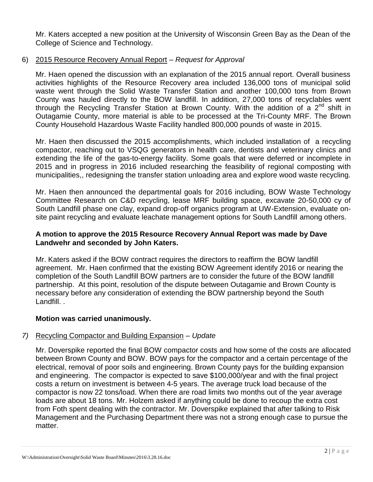Mr. Katers accepted a new position at the University of Wisconsin Green Bay as the Dean of the College of Science and Technology.

#### 6) 2015 Resource Recovery Annual Report – *Request for Approval*

Mr. Haen opened the discussion with an explanation of the 2015 annual report. Overall business activities highlights of the Resource Recovery area included 136,000 tons of municipal solid waste went through the Solid Waste Transfer Station and another 100,000 tons from Brown County was hauled directly to the BOW landfill. In addition, 27,000 tons of recyclables went through the Recycling Transfer Station at Brown County. With the addition of a 2<sup>nd</sup> shift in Outagamie County, more material is able to be processed at the Tri-County MRF. The Brown County Household Hazardous Waste Facility handled 800,000 pounds of waste in 2015.

Mr. Haen then discussed the 2015 accomplishments, which included installation of a recycling compactor, reaching out to VSQG generators in health care, dentists and veterinary clinics and extending the life of the gas-to-energy facility. Some goals that were deferred or incomplete in 2015 and in progress in 2016 included researching the feasibility of regional composting with municipalities,, redesigning the transfer station unloading area and explore wood waste recycling.

Mr. Haen then announced the departmental goals for 2016 including, BOW Waste Technology Committee Research on C&D recycling, lease MRF building space, excavate 20-50,000 cy of South Landfill phase one clay, expand drop-off organics program at UW-Extension, evaluate onsite paint recycling and evaluate leachate management options for South Landfill among others.

#### **A motion to approve the 2015 Resource Recovery Annual Report was made by Dave Landwehr and seconded by John Katers.**

Mr. Katers asked if the BOW contract requires the directors to reaffirm the BOW landfill agreement. Mr. Haen confirmed that the existing BOW Agreement identify 2016 or nearing the completion of the South Landfill BOW partners are to consider the future of the BOW landfill partnership. At this point, resolution of the dispute between Outagamie and Brown County is necessary before any consideration of extending the BOW partnership beyond the South Landfill. .

#### **Motion was carried unanimously.**

#### *7)* Recycling Compactor and Building Expansion – *Update*

Mr. Doverspike reported the final BOW compactor costs and how some of the costs are allocated between Brown County and BOW. BOW pays for the compactor and a certain percentage of the electrical, removal of poor soils and engineering. Brown County pays for the building expansion and engineering. The compactor is expected to save \$100,000/year and with the final project costs a return on investment is between 4-5 years. The average truck load because of the compactor is now 22 tons/load. When there are road limits two months out of the year average loads are about 18 tons. Mr. Holzem asked if anything could be done to recoup the extra cost from Foth spent dealing with the contractor. Mr. Doverspike explained that after talking to Risk Management and the Purchasing Department there was not a strong enough case to pursue the matter.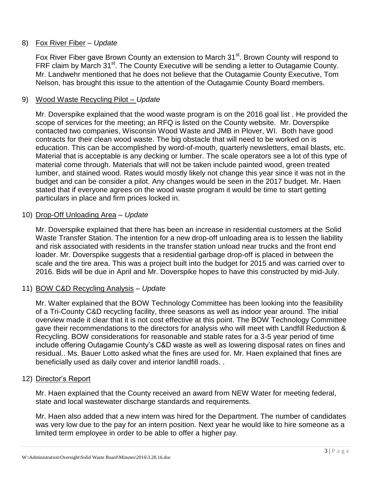#### 8) Fox River Fiber – *Update*

Fox River Fiber gave Brown County an extension to March 31<sup>st</sup>. Brown County will respond to FRF claim by March 31<sup>st</sup>. The County Executive will be sending a letter to Outagamie County. Mr. Landwehr mentioned that he does not believe that the Outagamie County Executive, Tom Nelson, has brought this issue to the attention of the Outagamie County Board members.

#### 9) Wood Waste Recycling Pilot – *Update*

Mr. Doverspike explained that the wood waste program is on the 2016 goal list . He provided the scope of services for the meeting; an RFQ is listed on the County website. Mr. Doverspike contacted two companies, Wisconsin Wood Waste and JMB in Plover, WI. Both have good contracts for their clean wood waste. The big obstacle that will need to be worked on is education. This can be accomplished by word-of-mouth, quarterly newsletters, email blasts, etc. Material that is acceptable is any decking or lumber. The scale operators see a lot of this type of material come through. Materials that will not be taken include painted wood, green treated lumber, and stained wood. Rates would mostly likely not change this year since it was not in the budget and can be consider a pilot. Any changes would be seen in the 2017 budget. Mr. Haen stated that if everyone agrees on the wood waste program it would be time to start getting particulars in place and firm prices locked in.

#### 10) Drop-Off Unloading Area – *Update*

Mr. Doverspike explained that there has been an increase in residential customers at the Solid Waste Transfer Station. The intention for a new drop-off unloading area is to lessen the liability and risk associated with residents in the transfer station unload near trucks and the front end loader. Mr. Doverspike suggests that a residential garbage drop-off is placed in between the scale and the tire area. This was a project built into the budget for 2015 and was carried over to 2016. Bids will be due in April and Mr. Doverspike hopes to have this constructed by mid-July.

#### 11) BOW C&D Recycling Analysis – *Update*

Mr. Walter explained that the BOW Technology Committee has been looking into the feasibility of a Tri-County C&D recycling facility, three seasons as well as indoor year around. The initial overview made it clear that it is not cost effective at this point. The BOW Technology Committee gave their recommendations to the directors for analysis who will meet with Landfill Reduction & Recycling. BOW considerations for reasonable and stable rates for a 3-5 year period of time include offering Outagamie County's C&D waste as well as lowering disposal rates on fines and residual.. Ms. Bauer Lotto asked what the fines are used for. Mr. Haen explained that fines are beneficially used as daily cover and interior landfill roads. .

#### 12) Director's Report

Mr. Haen explained that the County received an award from NEW Water for meeting federal, state and local wastewater discharge standards and requirements.

Mr. Haen also added that a new intern was hired for the Department. The number of candidates was very low due to the pay for an intern position. Next year he would like to hire someone as a limited term employee in order to be able to offer a higher pay.